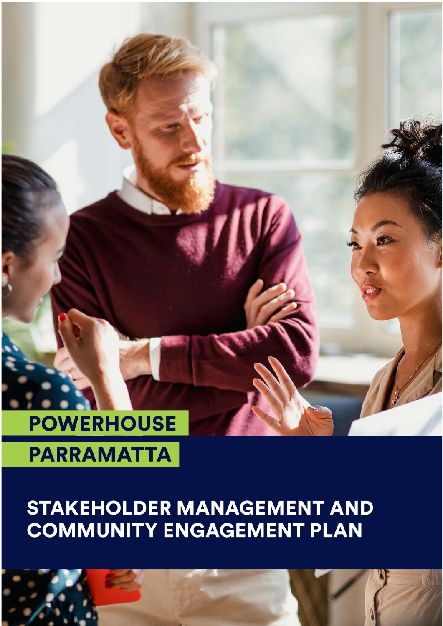# **POWERHOUSE**

## **PARRAMATTA**

## **STAKEHOLDER MANAGEMENT AND COMMUNITY ENGAGEMENT PLAN**

**INSERT COVER PAGE**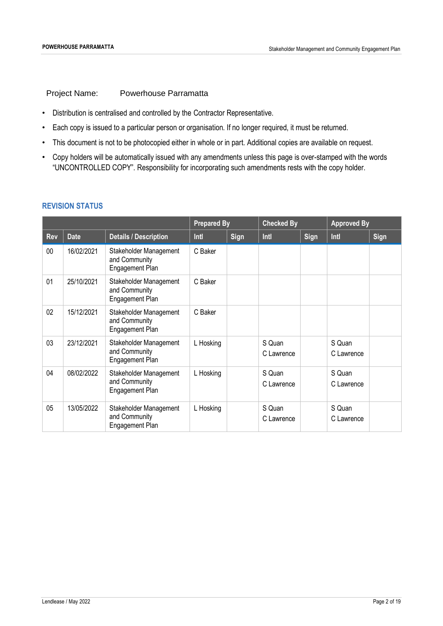Project Name: Powerhouse Parramatta

- Distribution is centralised and controlled by the Contractor Representative.
- Each copy is issued to a particular person or organisation. If no longer required, it must be returned.
- This document is not to be photocopied either in whole or in part. Additional copies are available on request.
- Copy holders will be automatically issued with any amendments unless this page is over-stamped with the words "UNCONTROLLED COPY". Responsibility for incorporating such amendments rests with the copy holder.

#### **REVISION STATUS**

|            |             |                                                                   | <b>Prepared By</b> |      | <b>Checked By</b>    |      | <b>Approved By</b>   |      |
|------------|-------------|-------------------------------------------------------------------|--------------------|------|----------------------|------|----------------------|------|
| <b>Rev</b> | <b>Date</b> | <b>Details / Description</b>                                      | Intl               | Sign | Intl                 | Sign | Intl                 | Sign |
| $00\,$     | 16/02/2021  | Stakeholder Management<br>and Community<br><b>Engagement Plan</b> | C Baker            |      |                      |      |                      |      |
| 01         | 25/10/2021  | Stakeholder Management<br>and Community<br>Engagement Plan        | C Baker            |      |                      |      |                      |      |
| 02         | 15/12/2021  | Stakeholder Management<br>and Community<br>Engagement Plan        | C Baker            |      |                      |      |                      |      |
| 03         | 23/12/2021  | Stakeholder Management<br>and Community<br>Engagement Plan        | L Hosking          |      | S Quan<br>C Lawrence |      | S Quan<br>C Lawrence |      |
| 04         | 08/02/2022  | Stakeholder Management<br>and Community<br>Engagement Plan        | L Hosking          |      | S Quan<br>C Lawrence |      | S Quan<br>C Lawrence |      |
| 05         | 13/05/2022  | Stakeholder Management<br>and Community<br>Engagement Plan        | L Hosking          |      | S Quan<br>C Lawrence |      | S Quan<br>C Lawrence |      |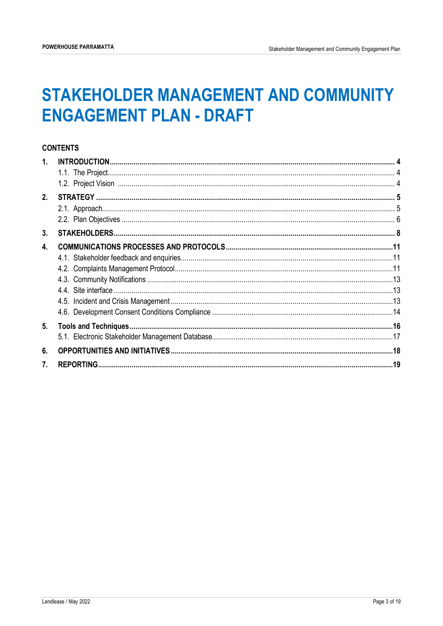### **STAKEHOLDER MANAGEMENT AND COMMUNITY ENGAGEMENT PLAN - DRAFT**

#### **CONTENTS**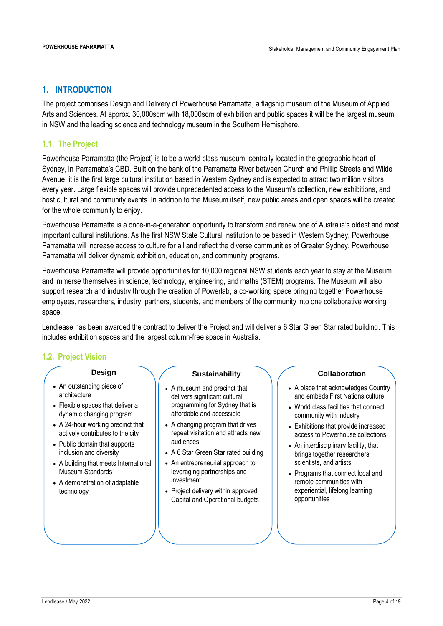#### <span id="page-3-0"></span>**1. INTRODUCTION**

The project comprises Design and Delivery of Powerhouse Parramatta, a flagship museum of the Museum of Applied Arts and Sciences. At approx. 30,000sqm with 18,000sqm of exhibition and public spaces it will be the largest museum in NSW and the leading science and technology museum in the Southern Hemisphere.

#### <span id="page-3-1"></span>**1.1. The Project**

Powerhouse Parramatta (the Project) is to be a world-class museum, centrally located in the geographic heart of Sydney, in Parramatta's CBD. Built on the bank of the Parramatta River between Church and Phillip Streets and Wilde Avenue, it is the first large cultural institution based in Western Sydney and is expected to attract two million visitors every year. Large flexible spaces will provide unprecedented access to the Museum's collection, new exhibitions, and host cultural and community events. In addition to the Museum itself, new public areas and open spaces will be created for the whole community to enjoy.

Powerhouse Parramatta is a once-in-a-generation opportunity to transform and renew one of Australia's oldest and most important cultural institutions. As the first NSW State Cultural Institution to be based in Western Sydney, Powerhouse Parramatta will increase access to culture for all and reflect the diverse communities of Greater Sydney. Powerhouse Parramatta will deliver dynamic exhibition, education, and community programs.

Powerhouse Parramatta will provide opportunities for 10,000 regional NSW students each year to stay at the Museum and immerse themselves in science, technology, engineering, and maths (STEM) programs. The Museum will also support research and industry through the creation of Powerlab, a co-working space bringing together Powerhouse employees, researchers, industry, partners, students, and members of the community into one collaborative working space.

Lendlease has been awarded the contract to deliver the Project and will deliver a 6 Star Green Star rated building. This includes exhibition spaces and the largest column-free space in Australia.

#### <span id="page-3-2"></span>**1.2. Project Vision**

#### **Design**

- An outstanding piece of architecture
- Flexible spaces that deliver a dynamic changing program
- A 24-hour working precinct that actively contributes to the city
- Public domain that supports inclusion and diversity
- A building that meets International Museum Standards
- A demonstration of adaptable technology

#### **Sustainability**

- A museum and precinct that delivers significant cultural programming for Sydney that is affordable and accessible
- A changing program that drives repeat visitation and attracts new audiences
- A 6 Star Green Star rated building
- An entrepreneurial approach to leveraging partnerships and investment
- Project delivery within approved Capital and Operational budgets

#### **Collaboration**

- A place that acknowledges Country and embeds First Nations culture
- World class facilities that connect community with industry
- Exhibitions that provide increased access to Powerhouse collections
- An interdisciplinary facility, that brings together researchers, scientists, and artists
- Programs that connect local and remote communities with experiential, lifelong learning opportunities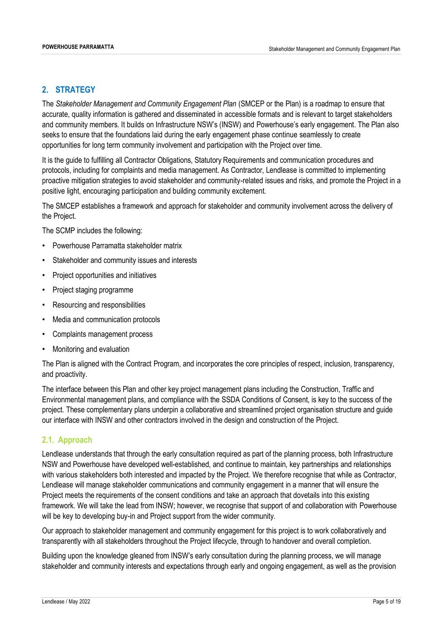#### <span id="page-4-0"></span>**2. STRATEGY**

The *Stakeholder Management and Community Engagement Plan* (SMCEP or the Plan) is a roadmap to ensure that accurate, quality information is gathered and disseminated in accessible formats and is relevant to target stakeholders and community members. It builds on Infrastructure NSW's (INSW) and Powerhouse's early engagement. The Plan also seeks to ensure that the foundations laid during the early engagement phase continue seamlessly to create opportunities for long term community involvement and participation with the Project over time.

It is the guide to fulfilling all Contractor Obligations, Statutory Requirements and communication procedures and protocols, including for complaints and media management. As Contractor, Lendlease is committed to implementing proactive mitigation strategies to avoid stakeholder and community-related issues and risks, and promote the Project in a positive light, encouraging participation and building community excitement.

The SMCEP establishes a framework and approach for stakeholder and community involvement across the delivery of the Project.

The SCMP includes the following:

- Powerhouse Parramatta stakeholder matrix
- Stakeholder and community issues and interests
- Project opportunities and initiatives
- Project staging programme
- Resourcing and responsibilities
- Media and communication protocols
- Complaints management process
- Monitoring and evaluation

The Plan is aligned with the Contract Program, and incorporates the core principles of respect, inclusion, transparency, and proactivity.

The interface between this Plan and other key project management plans including the Construction, Traffic and Environmental management plans, and compliance with the SSDA Conditions of Consent, is key to the success of the project. These complementary plans underpin a collaborative and streamlined project organisation structure and guide our interface with INSW and other contractors involved in the design and construction of the Project.

#### <span id="page-4-1"></span>**2.1. Approach**

Lendlease understands that through the early consultation required as part of the planning process, both Infrastructure NSW and Powerhouse have developed well-established, and continue to maintain, key partnerships and relationships with various stakeholders both interested and impacted by the Project. We therefore recognise that while as Contractor, Lendlease will manage stakeholder communications and community engagement in a manner that will ensure the Project meets the requirements of the consent conditions and take an approach that dovetails into this existing framework. We will take the lead from INSW; however, we recognise that support of and collaboration with Powerhouse will be key to developing buy-in and Project support from the wider community.

Our approach to stakeholder management and community engagement for this project is to work collaboratively and transparently with all stakeholders throughout the Project lifecycle, through to handover and overall completion.

Building upon the knowledge gleaned from INSW's early consultation during the planning process, we will manage stakeholder and community interests and expectations through early and ongoing engagement, as well as the provision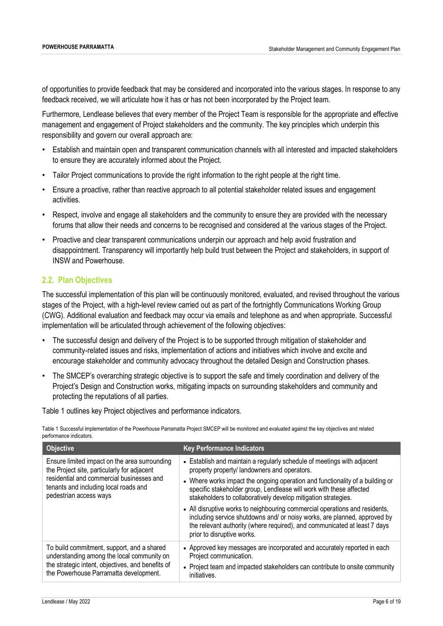of opportunities to provide feedback that may be considered and incorporated into the various stages. In response to any feedback received, we will articulate how it has or has not been incorporated by the Project team.

Furthermore, Lendlease believes that every member of the Project Team is responsible for the appropriate and effective management and engagement of Project stakeholders and the community. The key principles which underpin this responsibility and govern our overall approach are:

- Establish and maintain open and transparent communication channels with all interested and impacted stakeholders to ensure they are accurately informed about the Project.
- Tailor Project communications to provide the right information to the right people at the right time.
- Ensure a proactive, rather than reactive approach to all potential stakeholder related issues and engagement activities.
- Respect, involve and engage all stakeholders and the community to ensure they are provided with the necessary forums that allow their needs and concerns to be recognised and considered at the various stages of the Project.
- Proactive and clear transparent communications underpin our approach and help avoid frustration and disappointment. Transparency will importantly help build trust between the Project and stakeholders, in support of INSW and Powerhouse.

### <span id="page-5-0"></span>**2.2. Plan Objectives**

The successful implementation of this plan will be continuously monitored, evaluated, and revised throughout the various stages of the Project, with a high-level review carried out as part of the fortnightly Communications Working Group (CWG). Additional evaluation and feedback may occur via emails and telephone as and when appropriate. Successful implementation will be articulated through achievement of the following objectives:

- The successful design and delivery of the Project is to be supported through mitigation of stakeholder and community-related issues and risks, implementation of actions and initiatives which involve and excite and encourage stakeholder and community advocacy throughout the detailed Design and Construction phases.
- The SMCEP's overarching strategic objective is to support the safe and timely coordination and delivery of the Project's Design and Construction works, mitigating impacts on surrounding stakeholders and community and protecting the reputations of all parties.

Table 1 outlines key Project objectives and performance indicators.

Table 1 Successful implementation of the Powerhouse Parramatta Project SMCEP will be monitored and evaluated against the key objectives and related performance indicators.

| <b>Objective</b>                                                                                                                                                                                             | <b>Key Performance Indicators</b>                                                                                                                                                                                                                                                                                                                                                                                                                                                                                                                                                                                        |
|--------------------------------------------------------------------------------------------------------------------------------------------------------------------------------------------------------------|--------------------------------------------------------------------------------------------------------------------------------------------------------------------------------------------------------------------------------------------------------------------------------------------------------------------------------------------------------------------------------------------------------------------------------------------------------------------------------------------------------------------------------------------------------------------------------------------------------------------------|
| Ensure limited impact on the area surrounding<br>the Project site, particularly for adjacent<br>residential and commercial businesses and<br>tenants and including local roads and<br>pedestrian access ways | • Establish and maintain a regularly schedule of meetings with adjacent<br>property property/ landowners and operators.<br>• Where works impact the ongoing operation and functionality of a building or<br>specific stakeholder group, Lendlease will work with these affected<br>stakeholders to collaboratively develop mitigation strategies.<br>• All disruptive works to neighbouring commercial operations and residents,<br>including service shutdowns and/ or noisy works, are planned, approved by<br>the relevant authority (where required), and communicated at least 7 days<br>prior to disruptive works. |
| To build commitment, support, and a shared<br>understanding among the local community on<br>the strategic intent, objectives, and benefits of<br>the Powerhouse Parramatta development.                      | • Approved key messages are incorporated and accurately reported in each<br>Project communication.<br>• Project team and impacted stakeholders can contribute to onsite community<br>initiatives.                                                                                                                                                                                                                                                                                                                                                                                                                        |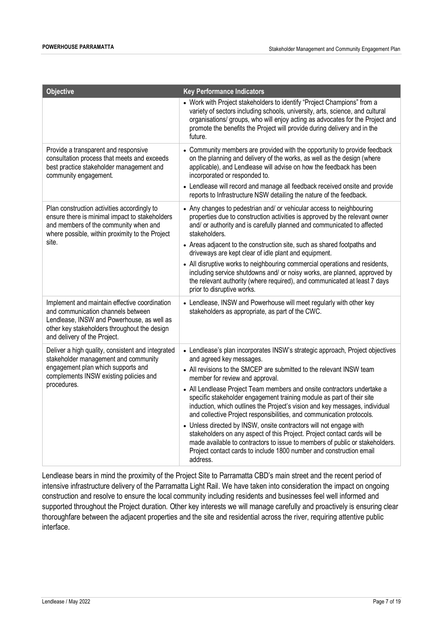| <b>Objective</b>                                                                                                                                                                                                  | <b>Key Performance Indicators</b>                                                                                                                                                                                                                                                                                                                                                                                                                                                                                                                                                                                                                                                                                                                                                                                                                      |
|-------------------------------------------------------------------------------------------------------------------------------------------------------------------------------------------------------------------|--------------------------------------------------------------------------------------------------------------------------------------------------------------------------------------------------------------------------------------------------------------------------------------------------------------------------------------------------------------------------------------------------------------------------------------------------------------------------------------------------------------------------------------------------------------------------------------------------------------------------------------------------------------------------------------------------------------------------------------------------------------------------------------------------------------------------------------------------------|
|                                                                                                                                                                                                                   | • Work with Project stakeholders to identify "Project Champions" from a<br>variety of sectors including schools, university, arts, science, and cultural<br>organisations/ groups, who will enjoy acting as advocates for the Project and<br>promote the benefits the Project will provide during delivery and in the<br>future.                                                                                                                                                                                                                                                                                                                                                                                                                                                                                                                       |
| Provide a transparent and responsive<br>consultation process that meets and exceeds<br>best practice stakeholder management and<br>community engagement.                                                          | • Community members are provided with the opportunity to provide feedback<br>on the planning and delivery of the works, as well as the design (where<br>applicable), and Lendlease will advise on how the feedback has been<br>incorporated or responded to.<br>• Lendlease will record and manage all feedback received onsite and provide<br>reports to Infrastructure NSW detailing the nature of the feedback.                                                                                                                                                                                                                                                                                                                                                                                                                                     |
| Plan construction activities accordingly to<br>ensure there is minimal impact to stakeholders<br>and members of the community when and<br>where possible, within proximity to the Project<br>site.                | • Any changes to pedestrian and/ or vehicular access to neighbouring<br>properties due to construction activities is approved by the relevant owner<br>and/ or authority and is carefully planned and communicated to affected<br>stakeholders.<br>• Areas adjacent to the construction site, such as shared footpaths and<br>driveways are kept clear of idle plant and equipment.<br>• All disruptive works to neighbouring commercial operations and residents,<br>including service shutdowns and/ or noisy works, are planned, approved by<br>the relevant authority (where required), and communicated at least 7 days<br>prior to disruptive works.                                                                                                                                                                                             |
| Implement and maintain effective coordination<br>and communication channels between<br>Lendlease, INSW and Powerhouse, as well as<br>other key stakeholders throughout the design<br>and delivery of the Project. | • Lendlease, INSW and Powerhouse will meet regularly with other key<br>stakeholders as appropriate, as part of the CWC.                                                                                                                                                                                                                                                                                                                                                                                                                                                                                                                                                                                                                                                                                                                                |
| Deliver a high quality, consistent and integrated<br>stakeholder management and community<br>engagement plan which supports and<br>complements INSW existing policies and<br>procedures.                          | • Lendlease's plan incorporates INSW's strategic approach, Project objectives<br>and agreed key messages.<br>• All revisions to the SMCEP are submitted to the relevant INSW team<br>member for review and approval.<br>• All Lendlease Project Team members and onsite contractors undertake a<br>specific stakeholder engagement training module as part of their site<br>induction, which outlines the Project's vision and key messages, individual<br>and collective Project responsibilities, and communication protocols.<br>• Unless directed by INSW, onsite contractors will not engage with<br>stakeholders on any aspect of this Project. Project contact cards will be<br>made available to contractors to issue to members of public or stakeholders.<br>Project contact cards to include 1800 number and construction email<br>address. |

Lendlease bears in mind the proximity of the Project Site to Parramatta CBD's main street and the recent period of intensive infrastructure delivery of the Parramatta Light Rail. We have taken into consideration the impact on ongoing construction and resolve to ensure the local community including residents and businesses feel well informed and supported throughout the Project duration. Other key interests we will manage carefully and proactively is ensuring clear thoroughfare between the adjacent properties and the site and residential across the river, requiring attentive public interface.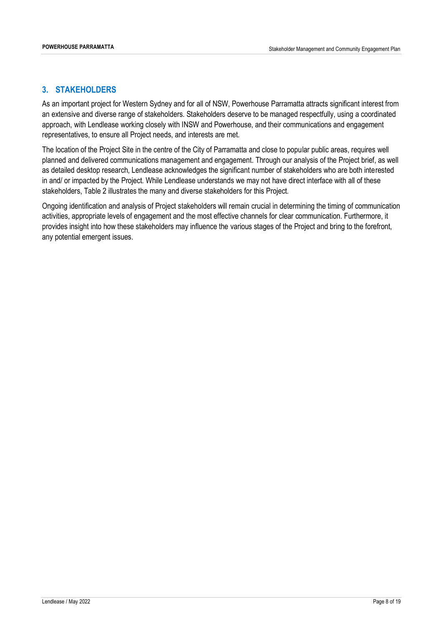#### <span id="page-7-0"></span>**3. STAKEHOLDERS**

As an important project for Western Sydney and for all of NSW, Powerhouse Parramatta attracts significant interest from an extensive and diverse range of stakeholders. Stakeholders deserve to be managed respectfully, using a coordinated approach, with Lendlease working closely with INSW and Powerhouse, and their communications and engagement representatives, to ensure all Project needs, and interests are met.

The location of the Project Site in the centre of the City of Parramatta and close to popular public areas, requires well planned and delivered communications management and engagement. Through our analysis of the Project brief, as well as detailed desktop research, Lendlease acknowledges the significant number of stakeholders who are both interested in and/ or impacted by the Project. While Lendlease understands we may not have direct interface with all of these stakeholders, Table 2 illustrates the many and diverse stakeholders for this Project.

Ongoing identification and analysis of Project stakeholders will remain crucial in determining the timing of communication activities, appropriate levels of engagement and the most effective channels for clear communication. Furthermore, it provides insight into how these stakeholders may influence the various stages of the Project and bring to the forefront, any potential emergent issues.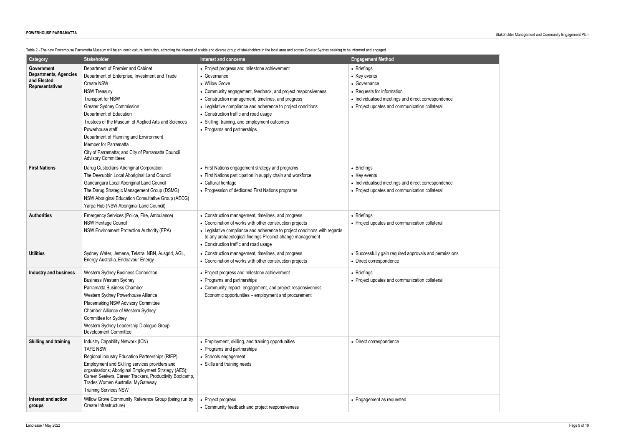

| Category                     | <b>Stakeholder</b>                                                                                              | able Z - The new Powerhouse Parramatta Museum will be an ICONIC Cultural Institution, attracting the Interest of a wide and diverse group of stakeholders in the local area and across Greater Sydney seeking to be informed a<br><b>Interest and concerns</b> | <b>Engagement Method</b>                                            |
|------------------------------|-----------------------------------------------------------------------------------------------------------------|----------------------------------------------------------------------------------------------------------------------------------------------------------------------------------------------------------------------------------------------------------------|---------------------------------------------------------------------|
| Government                   | Department of Premier and Cabinet                                                                               | • Project progress and milestone achievement                                                                                                                                                                                                                   | • Briefings                                                         |
| <b>Departments, Agencies</b> | Department of Enterprise, Investment and Trade                                                                  | • Governance                                                                                                                                                                                                                                                   | • Key events                                                        |
| and Elected                  | Create NSW                                                                                                      | • Willow Grove                                                                                                                                                                                                                                                 | • Governance                                                        |
| <b>Representatives</b>       | <b>NSW Treasury</b>                                                                                             | • Community engagement, feedback, and project responsiveness                                                                                                                                                                                                   | • Requests for information                                          |
|                              | Transport for NSW                                                                                               | • Construction management, timelines, and progress                                                                                                                                                                                                             | • Individualised meetings and direct correspondence                 |
|                              | <b>Greater Sydney Commission</b>                                                                                | • Legislative compliance and adherence to project conditions                                                                                                                                                                                                   | • Project updates and communication collateral                      |
|                              | Department of Education                                                                                         | • Construction traffic and road usage                                                                                                                                                                                                                          |                                                                     |
|                              | Trustees of the Museum of Applied Arts and Sciences                                                             | • Skilling, training, and employment outcomes                                                                                                                                                                                                                  |                                                                     |
|                              | Powerhouse staff                                                                                                | • Programs and partnerships                                                                                                                                                                                                                                    |                                                                     |
|                              | Department of Planning and Environment                                                                          |                                                                                                                                                                                                                                                                |                                                                     |
|                              | Member for Parramatta                                                                                           |                                                                                                                                                                                                                                                                |                                                                     |
|                              | City of Parramatta; and City of Parramatta Council<br><b>Advisory Committees</b>                                |                                                                                                                                                                                                                                                                |                                                                     |
|                              |                                                                                                                 |                                                                                                                                                                                                                                                                |                                                                     |
| <b>First Nations</b>         | Darug Custodians Aboriginal Corporation<br>The Deerubbin Local Aboriginal Land Council                          | • First Nations engagement strategy and programs                                                                                                                                                                                                               | • Briefings                                                         |
|                              | Gandangara Local Aboriginal Land Council                                                                        | • First Nations participation in supply chain and workforce<br>• Cultural heritage                                                                                                                                                                             | • Key events<br>• Individualised meetings and direct correspondence |
|                              | The Darug Strategic Management Group (DSMG)                                                                     | • Progression of dedicated First Nations programs                                                                                                                                                                                                              | • Project updates and communication collateral                      |
|                              | NSW Aboriginal Education Consultative Group (AECG)                                                              |                                                                                                                                                                                                                                                                |                                                                     |
|                              | Yarpa Hub (NSW Aboriginal Land Council)                                                                         |                                                                                                                                                                                                                                                                |                                                                     |
| <b>Authorities</b>           | Emergency Services (Police, Fire, Ambulance)                                                                    | • Construction management, timelines, and progress                                                                                                                                                                                                             | • Briefings                                                         |
|                              | <b>NSW Heritage Council</b>                                                                                     | • Coordination of works with other construction projects                                                                                                                                                                                                       | • Project updates and communication collateral                      |
|                              | NSW Environment Protection Authority (EPA)                                                                      | • Legislative compliance and adherence to project conditions with regards                                                                                                                                                                                      |                                                                     |
|                              |                                                                                                                 | to any archaeological findings Precinct change management                                                                                                                                                                                                      |                                                                     |
|                              |                                                                                                                 | • Construction traffic and road usage                                                                                                                                                                                                                          |                                                                     |
| <b>Utilities</b>             | Sydney Water, Jemena, Telstra, NBN, Ausgrid, AGL,                                                               | • Construction management, timelines, and progress                                                                                                                                                                                                             | • Successfully gain required approvals and permissions              |
|                              | Energy Australia, Endeavour Energy                                                                              | • Coordination of works with other construction projects                                                                                                                                                                                                       | • Direct correspondence                                             |
| <b>Industry and business</b> | Western Sydney Business Connection                                                                              | • Project progress and milestone achievement                                                                                                                                                                                                                   | • Briefings                                                         |
|                              | <b>Business Western Sydney</b>                                                                                  | • Programs and partnerships                                                                                                                                                                                                                                    | • Project updates and communication collateral                      |
|                              | Parramatta Business Chamber                                                                                     | • Community impact, engagement, and project responsiveness                                                                                                                                                                                                     |                                                                     |
|                              | Western Sydney Powerhouse Alliance                                                                              | Economic opportunities – employment and procurement                                                                                                                                                                                                            |                                                                     |
|                              | Placemaking NSW Advisory Committee                                                                              |                                                                                                                                                                                                                                                                |                                                                     |
|                              | Chamber Alliance of Western Sydney                                                                              |                                                                                                                                                                                                                                                                |                                                                     |
|                              | Committee for Sydney                                                                                            |                                                                                                                                                                                                                                                                |                                                                     |
|                              | Western Sydney Leadership Dialogue Group<br>Development Committee                                               |                                                                                                                                                                                                                                                                |                                                                     |
| <b>Skilling and training</b> | Industry Capability Network (ICN)                                                                               | • Employment, skilling, and training opportunities                                                                                                                                                                                                             | • Direct correspondence                                             |
|                              | <b>TAFE NSW</b>                                                                                                 | • Programs and partnerships                                                                                                                                                                                                                                    |                                                                     |
|                              | Regional Industry Education Partnerships (RIEP)                                                                 | • Schools engagement                                                                                                                                                                                                                                           |                                                                     |
|                              | Employment and Skilling services providers and                                                                  | • Skills and training needs                                                                                                                                                                                                                                    |                                                                     |
|                              | organisations; Aboriginal Employment Strategy (AES);<br>Career Seekers, Career Trackers, Productivity Bootcamp, |                                                                                                                                                                                                                                                                |                                                                     |
|                              | Trades Women Australia, MyGateway                                                                               |                                                                                                                                                                                                                                                                |                                                                     |
|                              | <b>Training Services NSW</b>                                                                                    |                                                                                                                                                                                                                                                                |                                                                     |
| Interest and action          | Willow Grove Community Reference Group (being run by                                                            | • Project progress                                                                                                                                                                                                                                             | • Engagement as requested                                           |
| groups                       | Create Infrastructure)                                                                                          | • Community feedback and project responsiveness                                                                                                                                                                                                                |                                                                     |

Toble 2 . The new Powerbouse Perrametre Museum will be an iconic cultural institution attraction the interest of a wide and diverse group of stakeholders in the local areas and across Creater Sudney seeking to be informed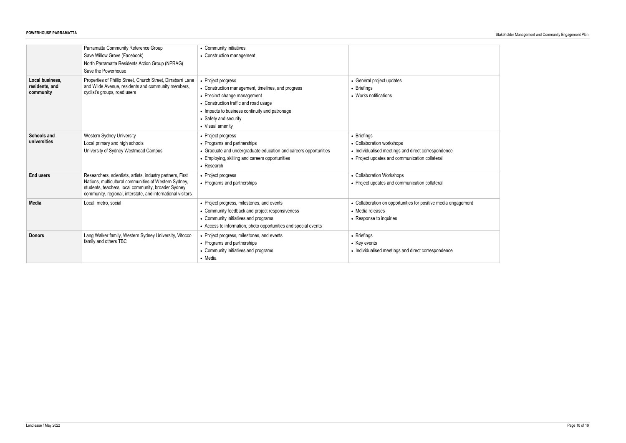|                                                | Parramatta Community Reference Group<br>Save Willow Grove (Facebook)<br>North Parramatta Residents Action Group (NPRAG)<br>Save the Powerhouse                                                                                            | • Community initiatives<br>• Construction management                                                                                                                                                                                             |                                                                                                                                                   |
|------------------------------------------------|-------------------------------------------------------------------------------------------------------------------------------------------------------------------------------------------------------------------------------------------|--------------------------------------------------------------------------------------------------------------------------------------------------------------------------------------------------------------------------------------------------|---------------------------------------------------------------------------------------------------------------------------------------------------|
| Local business,<br>residents, and<br>community | Properties of Phillip Street, Church Street, Dirrabarri Lane<br>and Wilde Avenue, residents and community members,<br>cyclist's groups, road users                                                                                        | • Project progress<br>• Construction management, timelines, and progress<br>• Precinct change management<br>• Construction traffic and road usage<br>• Impacts to business continuity and patronage<br>• Safety and security<br>• Visual amenity | • General project updates<br>• Briefings<br>• Works notifications                                                                                 |
| <b>Schools and</b><br>universities             | Western Sydney University<br>Local primary and high schools<br>University of Sydney Westmead Campus                                                                                                                                       | • Project progress<br>• Programs and partnerships<br>• Graduate and undergraduate education and careers opportunities<br>• Employing, skilling and careers opportunities<br>• Research                                                           | • Briefings<br>• Collaboration workshops<br>• Individualised meetings and direct correspondence<br>• Project updates and communication collateral |
| <b>End users</b>                               | Researchers, scientists, artists, industry partners, First<br>Nations, multicultural communities of Western Sydney,<br>students, teachers, local community, broader Sydney<br>community, regional, interstate, and international visitors | • Project progress<br>• Programs and partnerships                                                                                                                                                                                                | • Collaboration Workshops<br>• Project updates and communication collateral                                                                       |
| <b>Media</b>                                   | Local, metro, social                                                                                                                                                                                                                      | • Project progress, milestones, and events<br>• Community feedback and project responsiveness<br>• Community initiatives and programs<br>• Access to information, photo opportunities and special events                                         | • Collaboration on opportunities for positive media engagement<br>• Media releases<br>• Response to inquiries                                     |
| <b>Donors</b>                                  | Lang Walker family, Western Sydney University, Vitocco<br>family and others TBC                                                                                                                                                           | • Project progress, milestones, and events<br>• Programs and partnerships<br>• Community initiatives and programs<br>• Media                                                                                                                     | • Briefings<br>• Key events<br>• Individualised meetings and direct correspondence                                                                |

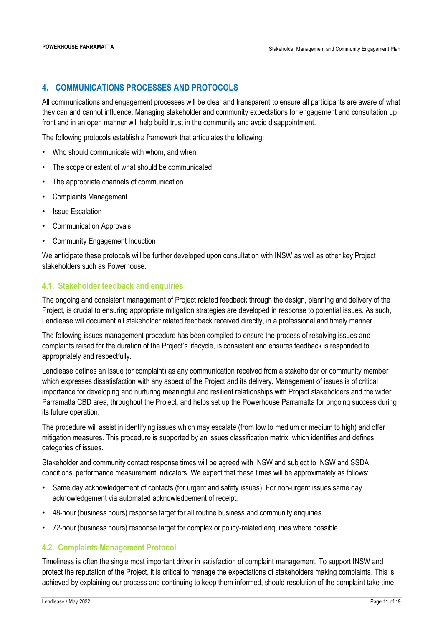#### <span id="page-10-0"></span>**4. COMMUNICATIONS PROCESSES AND PROTOCOLS**

All communications and engagement processes will be clear and transparent to ensure all participants are aware of what they can and cannot influence. Managing stakeholder and community expectations for engagement and consultation up front and in an open manner will help build trust in the community and avoid disappointment.

The following protocols establish a framework that articulates the following:

- Who should communicate with whom, and when
- The scope or extent of what should be communicated
- The appropriate channels of communication.
- Complaints Management
- **Issue Escalation**
- Communication Approvals
- Community Engagement Induction

We anticipate these protocols will be further developed upon consultation with INSW as well as other key Project stakeholders such as Powerhouse.

#### <span id="page-10-1"></span>**4.1. Stakeholder feedback and enquiries**

The ongoing and consistent management of Project related feedback through the design, planning and delivery of the Project, is crucial to ensuring appropriate mitigation strategies are developed in response to potential issues. As such, Lendlease will document all stakeholder related feedback received directly, in a professional and timely manner.

The following issues management procedure has been compiled to ensure the process of resolving issues and complaints raised for the duration of the Project's lifecycle, is consistent and ensures feedback is responded to appropriately and respectfully.

Lendlease defines an issue (or complaint) as any communication received from a stakeholder or community member which expresses dissatisfaction with any aspect of the Project and its delivery. Management of issues is of critical importance for developing and nurturing meaningful and resilient relationships with Project stakeholders and the wider Parramatta CBD area, throughout the Project, and helps set up the Powerhouse Parramatta for ongoing success during its future operation.

The procedure will assist in identifying issues which may escalate (from low to medium or medium to high) and offer mitigation measures. This procedure is supported by an issues classification matrix, which identifies and defines categories of issues.

Stakeholder and community contact response times will be agreed with INSW and subject to INSW and SSDA conditions' performance measurement indicators. We expect that these times will be approximately as follows:

- Same day acknowledgement of contacts (for urgent and safety issues). For non-urgent issues same day acknowledgement via automated acknowledgement of receipt.
- 48-hour (business hours) response target for all routine business and community enquiries
- 72-hour (business hours) response target for complex or policy-related enquiries where possible.

#### <span id="page-10-2"></span>**4.2. Complaints Management Protocol**

Timeliness is often the single most important driver in satisfaction of complaint management. To support INSW and protect the reputation of the Project, it is critical to manage the expectations of stakeholders making complaints. This is achieved by explaining our process and continuing to keep them informed, should resolution of the complaint take time.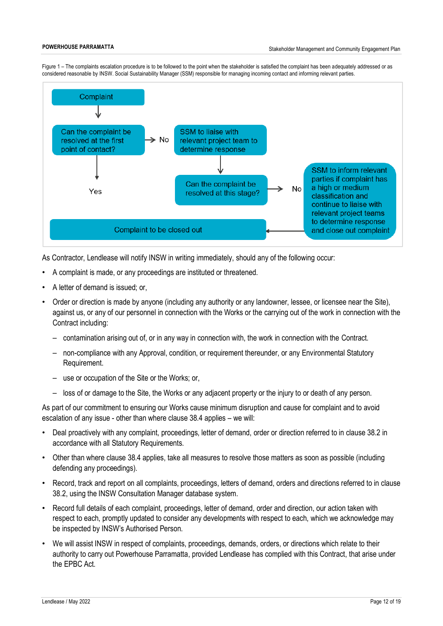Figure 1 – The complaints escalation procedure is to be followed to the point when the stakeholder is satisfied the complaint has been adequately addressed or as considered reasonable by INSW. Social Sustainability Manager (SSM) responsible for managing incoming contact and informing relevant parties.



As Contractor, Lendlease will notify INSW in writing immediately, should any of the following occur:

- A complaint is made, or any proceedings are instituted or threatened.
- A letter of demand is issued; or,
- Order or direction is made by anyone (including any authority or any landowner, lessee, or licensee near the Site), against us, or any of our personnel in connection with the Works or the carrying out of the work in connection with the Contract including:
	- contamination arising out of, or in any way in connection with, the work in connection with the Contract.
	- non-compliance with any Approval, condition, or requirement thereunder, or any Environmental Statutory Requirement.
	- use or occupation of the Site or the Works; or,
	- loss of or damage to the Site, the Works or any adjacent property or the injury to or death of any person.

As part of our commitment to ensuring our Works cause minimum disruption and cause for complaint and to avoid escalation of any issue - other than where clause 38.4 applies – we will:

- Deal proactively with any complaint, proceedings, letter of demand, order or direction referred to in clause 38.2 in accordance with all Statutory Requirements.
- Other than where clause 38.4 applies, take all measures to resolve those matters as soon as possible (including defending any proceedings).
- Record, track and report on all complaints, proceedings, letters of demand, orders and directions referred to in clause 38.2, using the INSW Consultation Manager database system.
- Record full details of each complaint, proceedings, letter of demand, order and direction, our action taken with respect to each, promptly updated to consider any developments with respect to each, which we acknowledge may be inspected by INSW's Authorised Person.
- We will assist INSW in respect of complaints, proceedings, demands, orders, or directions which relate to their authority to carry out Powerhouse Parramatta, provided Lendlease has complied with this Contract, that arise under the EPBC Act.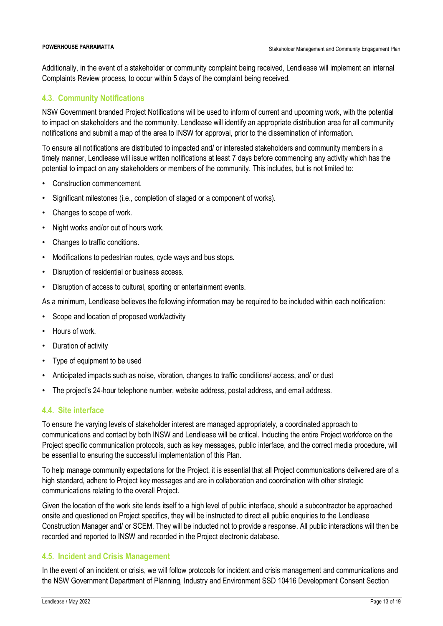Additionally, in the event of a stakeholder or community complaint being received, Lendlease will implement an internal Complaints Review process, to occur within 5 days of the complaint being received.

#### <span id="page-12-0"></span>**4.3. Community Notifications**

NSW Government branded Project Notifications will be used to inform of current and upcoming work, with the potential to impact on stakeholders and the community. Lendlease will identify an appropriate distribution area for all community notifications and submit a map of the area to INSW for approval, prior to the dissemination of information.

To ensure all notifications are distributed to impacted and/ or interested stakeholders and community members in a timely manner, Lendlease will issue written notifications at least 7 days before commencing any activity which has the potential to impact on any stakeholders or members of the community. This includes, but is not limited to:

- Construction commencement.
- Significant milestones (i.e., completion of staged or a component of works).
- Changes to scope of work.
- Night works and/or out of hours work.
- Changes to traffic conditions.
- Modifications to pedestrian routes, cycle ways and bus stops.
- Disruption of residential or business access.
- Disruption of access to cultural, sporting or entertainment events.

As a minimum, Lendlease believes the following information may be required to be included within each notification:

- Scope and location of proposed work/activity
- Hours of work.
- Duration of activity
- Type of equipment to be used
- Anticipated impacts such as noise, vibration, changes to traffic conditions/ access, and/ or dust
- The project's 24-hour telephone number, website address, postal address, and email address.

#### <span id="page-12-1"></span>**4.4. Site interface**

To ensure the varying levels of stakeholder interest are managed appropriately, a coordinated approach to communications and contact by both INSW and Lendlease will be critical. Inducting the entire Project workforce on the Project specific communication protocols, such as key messages, public interface, and the correct media procedure, will be essential to ensuring the successful implementation of this Plan.

To help manage community expectations for the Project, it is essential that all Project communications delivered are of a high standard, adhere to Project key messages and are in collaboration and coordination with other strategic communications relating to the overall Project.

Given the location of the work site lends itself to a high level of public interface, should a subcontractor be approached onsite and questioned on Project specifics, they will be instructed to direct all public enquiries to the Lendlease Construction Manager and/ or SCEM. They will be inducted not to provide a response. All public interactions will then be recorded and reported to INSW and recorded in the Project electronic database.

#### <span id="page-12-2"></span>**4.5. Incident and Crisis Management**

In the event of an incident or crisis, we will follow protocols for incident and crisis management and communications and the NSW Government Department of Planning, Industry and Environment SSD 10416 Development Consent Section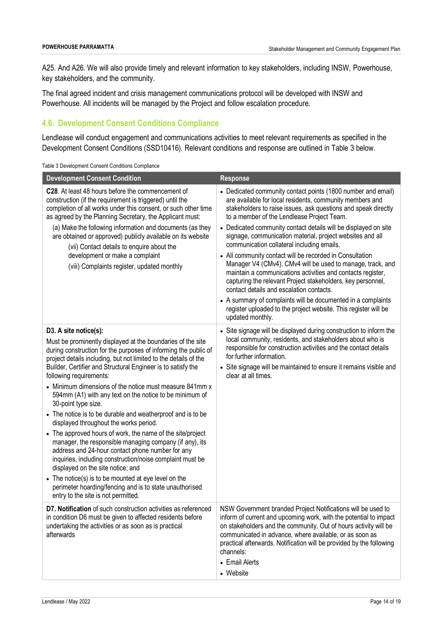A25. And A26. We will also provide timely and relevant information to key stakeholders, including INSW, Powerhouse, key stakeholders, and the community.

The final agreed incident and crisis management communications protocol will be developed with INSW and Powerhouse. All incidents will be managed by the Project and follow escalation procedure.

### <span id="page-13-0"></span>**4.6. Development Consent Conditions Compliance**

Lendlease will conduct engagement and communications activities to meet relevant requirements as specified in the Development Consent Conditions (SSD10416). Relevant conditions and response are outlined in Table 3 below.

|  |  | Table 3 Development Consent Conditions Compliance |
|--|--|---------------------------------------------------|
|  |  |                                                   |
|  |  |                                                   |

| <b>Development Consent Condition</b>                                                                                                                                                                                                                                                                                                                                                                                                                                                                                                                                                                                                                                                                                                                                                                                                                                                                                                                                                                                  | <b>Response</b>                                                                                                                                                                                                                                                                                                                                                                                                                                                                                                                                                                                                                                                                                                                                                                                                                                                                   |
|-----------------------------------------------------------------------------------------------------------------------------------------------------------------------------------------------------------------------------------------------------------------------------------------------------------------------------------------------------------------------------------------------------------------------------------------------------------------------------------------------------------------------------------------------------------------------------------------------------------------------------------------------------------------------------------------------------------------------------------------------------------------------------------------------------------------------------------------------------------------------------------------------------------------------------------------------------------------------------------------------------------------------|-----------------------------------------------------------------------------------------------------------------------------------------------------------------------------------------------------------------------------------------------------------------------------------------------------------------------------------------------------------------------------------------------------------------------------------------------------------------------------------------------------------------------------------------------------------------------------------------------------------------------------------------------------------------------------------------------------------------------------------------------------------------------------------------------------------------------------------------------------------------------------------|
| C28. At least 48 hours before the commencement of<br>construction (if the requirement is triggered) until the<br>completion of all works under this consent, or such other time<br>as agreed by the Planning Secretary, the Applicant must:<br>(a) Make the following information and documents (as they<br>are obtained or approved) publicly available on its website<br>(vii) Contact details to enquire about the<br>development or make a complaint<br>(viii) Complaints register, updated monthly                                                                                                                                                                                                                                                                                                                                                                                                                                                                                                               | • Dedicated community contact points (1800 number and email)<br>are available for local residents, community members and<br>stakeholders to raise issues, ask questions and speak directly<br>to a member of the Lendlease Project Team.<br>• Dedicated community contact details will be displayed on site<br>signage, communication material, project websites and all<br>communication collateral including emails.<br>• All community contact will be recorded in Consultation<br>Manager V4 (CMv4). CMv4 will be used to manage, track, and<br>maintain a communications activities and contacts register,<br>capturing the relevant Project stakeholders, key personnel,<br>contact details and escalation contacts.<br>• A summary of complaints will be documented in a complaints<br>register uploaded to the project website. This register will be<br>updated monthly. |
| D3. A site notice(s):<br>Must be prominently displayed at the boundaries of the site<br>during construction for the purposes of informing the public of<br>project details including, but not limited to the details of the<br>Builder, Certifier and Structural Engineer is to satisfy the<br>following requirements:<br>• Minimum dimensions of the notice must measure 841mm x<br>594mm (A1) with any text on the notice to be minimum of<br>30-point type size.<br>• The notice is to be durable and weatherproof and is to be<br>displayed throughout the works period.<br>• The approved hours of work, the name of the site/project<br>manager, the responsible managing company (if any), its<br>address and 24-hour contact phone number for any<br>inquiries, including construction/noise complaint must be<br>displayed on the site notice; and<br>• The notice(s) is to be mounted at eye level on the<br>perimeter hoarding/fencing and is to state unauthorised<br>entry to the site is not permitted. | • Site signage will be displayed during construction to inform the<br>local community, residents, and stakeholders about who is<br>responsible for construction activities and the contact details<br>for further information.<br>• Site signage will be maintained to ensure it remains visible and<br>clear at all times.                                                                                                                                                                                                                                                                                                                                                                                                                                                                                                                                                       |
| D7. Notification of such construction activities as referenced<br>in condition D6 must be given to affected residents before<br>undertaking the activities or as soon as is practical<br>afterwards                                                                                                                                                                                                                                                                                                                                                                                                                                                                                                                                                                                                                                                                                                                                                                                                                   | NSW Government branded Project Notifications will be used to<br>inform of current and upcoming work, with the potential to impact<br>on stakeholders and the community. Out of hours activity will be<br>communicated in advance, where available, or as soon as<br>practical afterwards. Notification will be provided by the following<br>channels:<br>• Email Alerts<br>• Website                                                                                                                                                                                                                                                                                                                                                                                                                                                                                              |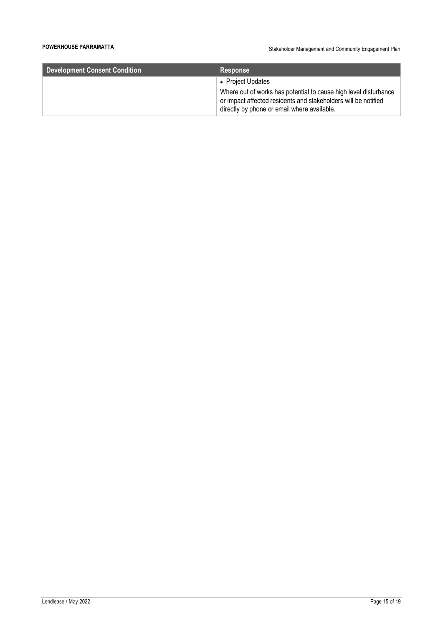**POWERHOUSE PARRAMATTA POWERHOUSE PARRAMATTA Stakeholder Management and Community Engagement Plan** 

| <b>Development Consent Condition</b> | <b>Response</b>                                                                                                                                                                   |
|--------------------------------------|-----------------------------------------------------------------------------------------------------------------------------------------------------------------------------------|
|                                      | • Project Updates                                                                                                                                                                 |
|                                      | Where out of works has potential to cause high level disturbance<br>or impact affected residents and stakeholders will be notified<br>directly by phone or email where available. |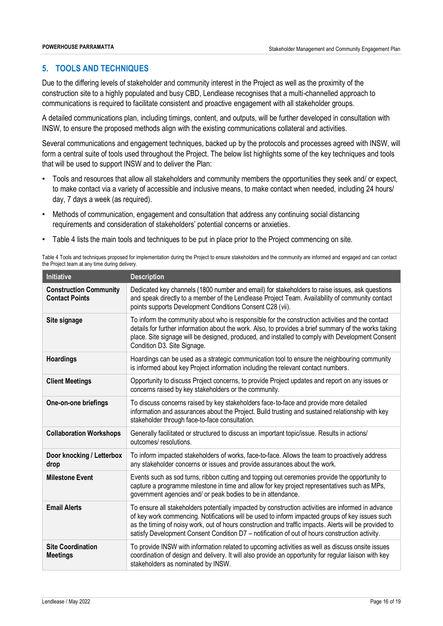#### <span id="page-15-0"></span>**5. TOOLS AND TECHNIQUES**

Due to the differing levels of stakeholder and community interest in the Project as well as the proximity of the construction site to a highly populated and busy CBD, Lendlease recognises that a multi-channelled approach to communications is required to facilitate consistent and proactive engagement with all stakeholder groups.

A detailed communications plan, including timings, content, and outputs, will be further developed in consultation with INSW, to ensure the proposed methods align with the existing communications collateral and activities.

Several communications and engagement techniques, backed up by the protocols and processes agreed with INSW, will form a central suite of tools used throughout the Project. The below list highlights some of the key techniques and tools that will be used to support INSW and to deliver the Plan:

- Tools and resources that allow all stakeholders and community members the opportunities they seek and/ or expect, to make contact via a variety of accessible and inclusive means, to make contact when needed, including 24 hours/ day, 7 days a week (as required).
- Methods of communication, engagement and consultation that address any continuing social distancing requirements and consideration of stakeholders' potential concerns or anxieties.
- Table 4 lists the main tools and techniques to be put in place prior to the Project commencing on site.

Table 4 Tools and techniques proposed for implementation during the Project to ensure stakeholders and the community are informed and engaged and can contact the Project team at any time during delivery.

| Initiative                                             | <b>Description</b>                                                                                                                                                                                                                                                                                                                                                                                                |
|--------------------------------------------------------|-------------------------------------------------------------------------------------------------------------------------------------------------------------------------------------------------------------------------------------------------------------------------------------------------------------------------------------------------------------------------------------------------------------------|
| <b>Construction Community</b><br><b>Contact Points</b> | Dedicated key channels (1800 number and email) for stakeholders to raise issues, ask questions<br>and speak directly to a member of the Lendlease Project Team. Availability of community contact<br>points supports Development Conditions Consent C28 (vii).                                                                                                                                                    |
| Site signage                                           | To inform the community about who is responsible for the construction activities and the contact<br>details for further information about the work. Also, to provides a brief summary of the works taking<br>place. Site signage will be designed, produced, and installed to comply with Development Consent<br>Condition D3. Site Signage.                                                                      |
| <b>Hoardings</b>                                       | Hoardings can be used as a strategic communication tool to ensure the neighbouring community<br>is informed about key Project information including the relevant contact numbers.                                                                                                                                                                                                                                 |
| <b>Client Meetings</b>                                 | Opportunity to discuss Project concerns, to provide Project updates and report on any issues or<br>concerns raised by key stakeholders or the community.                                                                                                                                                                                                                                                          |
| One-on-one briefings                                   | To discuss concerns raised by key stakeholders face-to-face and provide more detailed<br>information and assurances about the Project. Build trusting and sustained relationship with key<br>stakeholder through face-to-face consultation.                                                                                                                                                                       |
| <b>Collaboration Workshops</b>                         | Generally facilitated or structured to discuss an important topic/issue. Results in actions/<br>outcomes/resolutions.                                                                                                                                                                                                                                                                                             |
| Door knocking / Letterbox<br>drop                      | To inform impacted stakeholders of works, face-to-face. Allows the team to proactively address<br>any stakeholder concerns or issues and provide assurances about the work.                                                                                                                                                                                                                                       |
| <b>Milestone Event</b>                                 | Events such as sod turns, ribbon cutting and topping out ceremonies provide the opportunity to<br>capture a programme milestone in time and allow for key project representatives such as MPs,<br>government agencies and/ or peak bodies to be in attendance.                                                                                                                                                    |
| <b>Email Alerts</b>                                    | To ensure all stakeholders potentially impacted by construction activities are informed in advance<br>of key work commencing. Notifications will be used to inform impacted groups of key issues such<br>as the timing of noisy work, out of hours construction and traffic impacts. Alerts will be provided to<br>satisfy Development Consent Condition D7 - notification of out of hours construction activity. |
| <b>Site Coordination</b><br><b>Meetings</b>            | To provide INSW with information related to upcoming activities as well as discuss onsite issues<br>coordination of design and delivery. It will also provide an opportunity for regular liaison with key<br>stakeholders as nominated by INSW.                                                                                                                                                                   |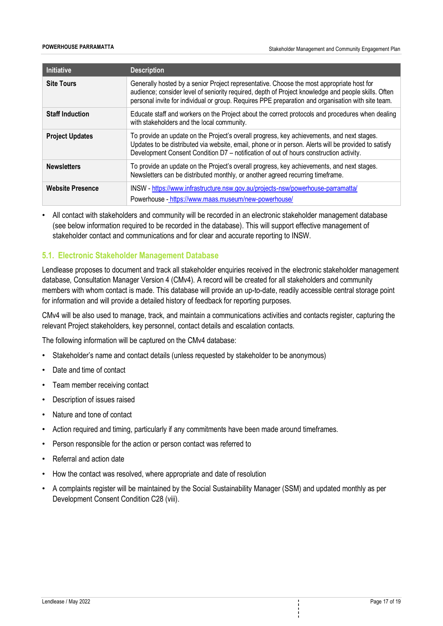| <b>Initiative</b>       | <b>Description</b>                                                                                                                                                                                                                                                                                     |
|-------------------------|--------------------------------------------------------------------------------------------------------------------------------------------------------------------------------------------------------------------------------------------------------------------------------------------------------|
| <b>Site Tours</b>       | Generally hosted by a senior Project representative. Choose the most appropriate host for<br>audience; consider level of seniority required, depth of Project knowledge and people skills. Often<br>personal invite for individual or group. Requires PPE preparation and organisation with site team. |
| <b>Staff Induction</b>  | Educate staff and workers on the Project about the correct protocols and procedures when dealing<br>with stakeholders and the local community.                                                                                                                                                         |
| <b>Project Updates</b>  | To provide an update on the Project's overall progress, key achievements, and next stages.<br>Updates to be distributed via website, email, phone or in person. Alerts will be provided to satisfy<br>Development Consent Condition D7 - notification of out of hours construction activity.           |
| <b>Newsletters</b>      | To provide an update on the Project's overall progress, key achievements, and next stages.<br>Newsletters can be distributed monthly, or another agreed recurring timeframe.                                                                                                                           |
| <b>Website Presence</b> | INSW - https://www.infrastructure.nsw.gov.au/projects-nsw/powerhouse-parramatta/<br>Powerhouse - https://www.maas.museum/new-powerhouse/                                                                                                                                                               |

• All contact with stakeholders and community will be recorded in an electronic stakeholder management database (see below information required to be recorded in the database). This will support effective management of stakeholder contact and communications and for clear and accurate reporting to INSW.

#### <span id="page-16-0"></span>**5.1. Electronic Stakeholder Management Database**

Lendlease proposes to document and track all stakeholder enquiries received in the electronic stakeholder management database, Consultation Manager Version 4 (CMv4). A record will be created for all stakeholders and community members with whom contact is made. This database will provide an up-to-date, readily accessible central storage point for information and will provide a detailed history of feedback for reporting purposes.

CMv4 will be also used to manage, track, and maintain a communications activities and contacts register, capturing the relevant Project stakeholders, key personnel, contact details and escalation contacts.

The following information will be captured on the CMv4 database:

- Stakeholder's name and contact details (unless requested by stakeholder to be anonymous)
- Date and time of contact
- Team member receiving contact
- Description of issues raised
- Nature and tone of contact
- Action required and timing, particularly if any commitments have been made around timeframes.
- Person responsible for the action or person contact was referred to
- Referral and action date
- How the contact was resolved, where appropriate and date of resolution
- A complaints register will be maintained by the Social Sustainability Manager (SSM) and updated monthly as per Development Consent Condition C28 (viii).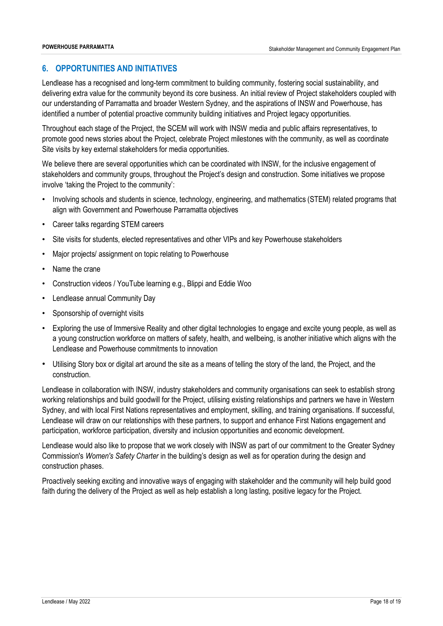#### <span id="page-17-0"></span>**6. OPPORTUNITIES AND INITIATIVES**

Lendlease has a recognised and long-term commitment to building community, fostering social sustainability, and delivering extra value for the community beyond its core business. An initial review of Project stakeholders coupled with our understanding of Parramatta and broader Western Sydney, and the aspirations of INSW and Powerhouse, has identified a number of potential proactive community building initiatives and Project legacy opportunities.

Throughout each stage of the Project, the SCEM will work with INSW media and public affairs representatives, to promote good news stories about the Project, celebrate Project milestones with the community, as well as coordinate Site visits by key external stakeholders for media opportunities.

We believe there are several opportunities which can be coordinated with INSW, for the inclusive engagement of stakeholders and community groups, throughout the Project's design and construction. Some initiatives we propose involve 'taking the Project to the community':

- Involving schools and students in science, technology, engineering, and mathematics (STEM) related programs that align with Government and Powerhouse Parramatta objectives
- Career talks regarding STEM careers
- Site visits for students, elected representatives and other VIPs and key Powerhouse stakeholders
- Major projects/ assignment on topic relating to Powerhouse
- Name the crane
- Construction videos / YouTube learning e.g., Blippi and Eddie Woo
- Lendlease annual Community Day
- Sponsorship of overnight visits
- Exploring the use of Immersive Reality and other digital technologies to engage and excite young people, as well as a young construction workforce on matters of safety, health, and wellbeing, is another initiative which aligns with the Lendlease and Powerhouse commitments to innovation
- Utilising Story box or digital art around the site as a means of telling the story of the land, the Project, and the construction.

Lendlease in collaboration with INSW, industry stakeholders and community organisations can seek to establish strong working relationships and build goodwill for the Project, utilising existing relationships and partners we have in Western Sydney, and with local First Nations representatives and employment, skilling, and training organisations. If successful, Lendlease will draw on our relationships with these partners, to support and enhance First Nations engagement and participation, workforce participation, diversity and inclusion opportunities and economic development.

Lendlease would also like to propose that we work closely with INSW as part of our commitment to the Greater Sydney Commission's *Women's Safety Charter* in the building's design as well as for operation during the design and construction phases.

Proactively seeking exciting and innovative ways of engaging with stakeholder and the community will help build good faith during the delivery of the Project as well as help establish a long lasting, positive legacy for the Project.